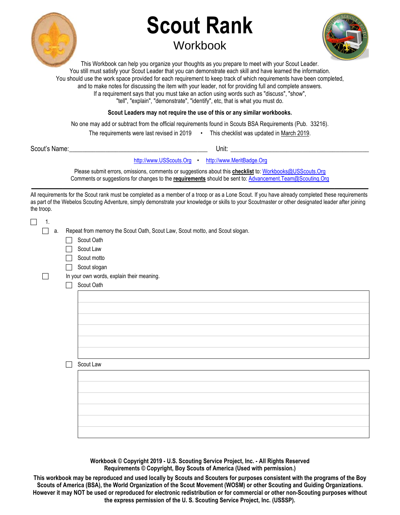

## **Scout Rank Workbook**



This Workbook can help you organize your thoughts as you prepare to meet with your Scout Leader. You still must satisfy your Scout Leader that you can demonstrate each skill and have learned the information. You should use the work space provided for each requirement to keep track of which requirements have been completed, and to make notes for discussing the item with your leader, not for providing full and complete answers. If a requirement says that you must take an action using words such as "discuss", "show", "tell", "explain", "demonstrate", "identify", etc, that is what you must do.

**Scout Leaders may not require the use of this or any similar workbooks.**

No one may add or subtract from the official requirements found in Scouts BSA Requirements (Pub. 33216).

The requirements were last revised in 2019 • This checklist was updated in March 2019.

| Scout's | Unit.         |
|---------|---------------|
| Name:   | $\sim$ $\sim$ |
|         |               |

[http://www.USScouts.Org](http://www.usscouts.org/) • [http://www.MeritBadge.Org](http://www.meritbadge.org/)

Please submit errors, omissions, comments or suggestions about this **checklist** to[: Workbooks@USScouts.Org](mailto:Workbooks@usscouts.org?subject=Merit%20Badge%20Workbooks) Comments or suggestions for changes to the **requirements** should be sent to[: Advancement.Team@Scouting.Org](mailto:Advancement.Team@Scouting.Org) *\_\_\_\_\_\_\_\_\_\_\_\_\_\_\_\_\_\_\_\_\_\_\_\_\_\_\_\_\_\_\_\_\_\_\_\_\_\_\_\_\_\_\_\_\_\_\_\_\_\_\_\_\_\_\_\_\_\_\_\_\_\_\_\_\_\_\_\_\_\_\_\_\_\_\_\_\_\_\_\_\_\_\_\_\_\_\_\_\_\_\_\_\_\_\_\_\_\_\_\_\_\_\_\_\_\_\_\_\_\_\_\_\_\_\_\_\_\_\_* 

All requirements for the Scout rank must be completed as a member of a troop or as a Lone Scout. If you have already completed these requirements as part of the Webelos Scouting Adventure, simply demonstrate your knowledge or skills to your Scoutmaster or other designated leader after joining the troop.

| $\Box$<br>1. |                   |                                                                              |
|--------------|-------------------|------------------------------------------------------------------------------|
| а.           |                   | Repeat from memory the Scout Oath, Scout Law, Scout motto, and Scout slogan. |
|              |                   | Scout Oath                                                                   |
|              |                   | Scout Law                                                                    |
|              |                   | Scout motto                                                                  |
|              | $\vert \ \ \vert$ | Scout slogan                                                                 |
|              |                   | In your own words, explain their meaning.                                    |
|              |                   | Scout Oath                                                                   |
|              |                   |                                                                              |
|              |                   |                                                                              |
|              |                   |                                                                              |
|              |                   |                                                                              |
|              |                   |                                                                              |
|              |                   |                                                                              |
|              |                   |                                                                              |
|              |                   | Scout Law                                                                    |
|              |                   |                                                                              |
|              |                   |                                                                              |
|              |                   |                                                                              |
|              |                   |                                                                              |
|              |                   |                                                                              |
|              |                   |                                                                              |
|              |                   |                                                                              |
|              |                   |                                                                              |

**Workbook © Copyright 2019 - U.S. Scouting Service Project, Inc. - All Rights Reserved Requirements © Copyright, Boy Scouts of America (Used with permission.)** 

**This workbook may be reproduced and used locally by Scouts and Scouters for purposes consistent with the programs of the Boy Scouts of America (BSA), the World Organization of the Scout Movement (WOSM) or other Scouting and Guiding Organizations. However it may NOT be used or reproduced for electronic redistribution or for commercial or other non-Scouting purposes without the express permission of the U. S. Scouting Service Project, Inc. (USSSP).**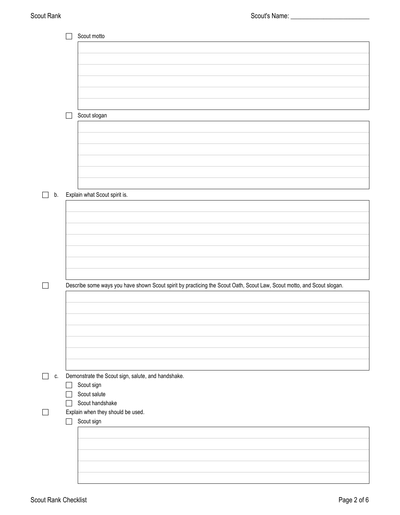|              |        | Scout motto                                                                                                            |
|--------------|--------|------------------------------------------------------------------------------------------------------------------------|
|              |        |                                                                                                                        |
|              |        |                                                                                                                        |
|              |        |                                                                                                                        |
|              |        |                                                                                                                        |
|              |        |                                                                                                                        |
|              |        |                                                                                                                        |
|              |        | Scout slogan                                                                                                           |
|              |        |                                                                                                                        |
|              |        |                                                                                                                        |
|              |        |                                                                                                                        |
|              |        |                                                                                                                        |
|              |        |                                                                                                                        |
|              |        |                                                                                                                        |
|              |        |                                                                                                                        |
| b.           |        | Explain what Scout spirit is.                                                                                          |
|              |        |                                                                                                                        |
|              |        |                                                                                                                        |
|              |        |                                                                                                                        |
|              |        |                                                                                                                        |
|              |        |                                                                                                                        |
|              |        |                                                                                                                        |
|              |        |                                                                                                                        |
| $\mathsf{L}$ |        | Describe some ways you have shown Scout spirit by practicing the Scout Oath, Scout Law, Scout motto, and Scout slogan. |
|              |        |                                                                                                                        |
|              |        |                                                                                                                        |
|              |        |                                                                                                                        |
|              |        |                                                                                                                        |
|              |        |                                                                                                                        |
|              |        |                                                                                                                        |
|              |        |                                                                                                                        |
| C.           |        | Demonstrate the Scout sign, salute, and handshake.                                                                     |
|              |        | Scout sign                                                                                                             |
|              |        | Scout salute                                                                                                           |
|              |        | Scout handshake                                                                                                        |
|              |        | Explain when they should be used.                                                                                      |
|              | $\sim$ | Scout sign                                                                                                             |
|              |        |                                                                                                                        |
|              |        |                                                                                                                        |
|              |        |                                                                                                                        |
|              |        |                                                                                                                        |
|              |        |                                                                                                                        |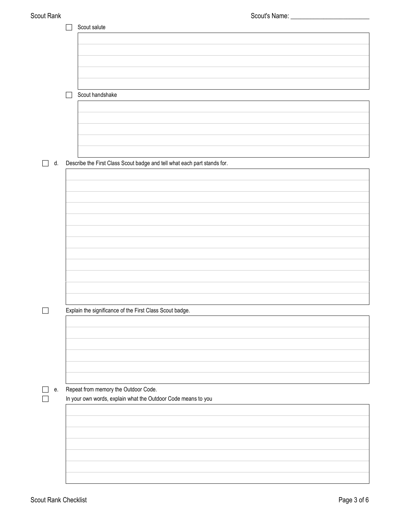|    | Scout salute                                                             |
|----|--------------------------------------------------------------------------|
|    |                                                                          |
|    |                                                                          |
|    |                                                                          |
|    |                                                                          |
|    |                                                                          |
|    |                                                                          |
|    | Scout handshake                                                          |
|    |                                                                          |
|    |                                                                          |
|    |                                                                          |
|    |                                                                          |
|    |                                                                          |
| d. | Describe the First Class Scout badge and tell what each part stands for. |
|    |                                                                          |
|    |                                                                          |
|    |                                                                          |
|    |                                                                          |
|    |                                                                          |
|    |                                                                          |
|    |                                                                          |
|    |                                                                          |
|    |                                                                          |
|    |                                                                          |
|    |                                                                          |
|    |                                                                          |
|    |                                                                          |
|    | Explain the significance of the First Class Scout badge.                 |
|    |                                                                          |
|    |                                                                          |
|    |                                                                          |
|    |                                                                          |
|    |                                                                          |
|    |                                                                          |
|    |                                                                          |
| е. | Repeat from memory the Outdoor Code.                                     |
|    | In your own words, explain what the Outdoor Code means to you            |
|    |                                                                          |
|    |                                                                          |
|    |                                                                          |
|    |                                                                          |
|    |                                                                          |
|    |                                                                          |
|    |                                                                          |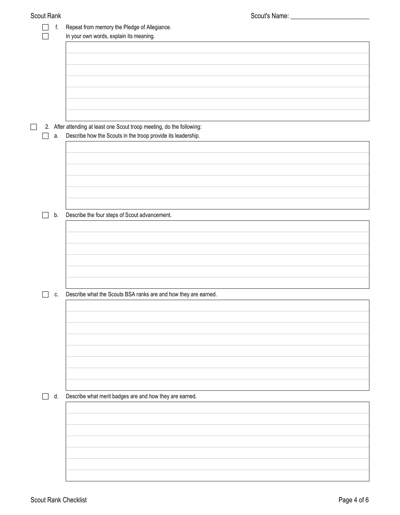|  | f. | Repeat from memory the Pledge of Allegiance.                                                                                           |
|--|----|----------------------------------------------------------------------------------------------------------------------------------------|
|  |    | In your own words, explain its meaning.                                                                                                |
|  |    |                                                                                                                                        |
|  |    |                                                                                                                                        |
|  |    |                                                                                                                                        |
|  |    |                                                                                                                                        |
|  |    |                                                                                                                                        |
|  |    |                                                                                                                                        |
|  |    |                                                                                                                                        |
|  |    |                                                                                                                                        |
|  |    |                                                                                                                                        |
|  | а. | 2. After attending at least one Scout troop meeting, do the following:<br>Describe how the Scouts in the troop provide its leadership. |
|  |    |                                                                                                                                        |
|  |    |                                                                                                                                        |
|  |    |                                                                                                                                        |
|  |    |                                                                                                                                        |
|  |    |                                                                                                                                        |
|  |    |                                                                                                                                        |
|  |    |                                                                                                                                        |
|  |    |                                                                                                                                        |
|  | b. | Describe the four steps of Scout advancement.                                                                                          |
|  |    |                                                                                                                                        |
|  |    |                                                                                                                                        |
|  |    |                                                                                                                                        |
|  |    |                                                                                                                                        |
|  |    |                                                                                                                                        |
|  |    |                                                                                                                                        |
|  |    |                                                                                                                                        |
|  | C. | Describe what the Scouts BSA ranks are and how they are earned.                                                                        |
|  |    |                                                                                                                                        |
|  |    |                                                                                                                                        |
|  |    |                                                                                                                                        |
|  |    |                                                                                                                                        |
|  |    |                                                                                                                                        |
|  |    |                                                                                                                                        |
|  |    |                                                                                                                                        |
|  |    |                                                                                                                                        |
|  |    |                                                                                                                                        |
|  |    |                                                                                                                                        |
|  | d. | Describe what merit badges are and how they are earned.                                                                                |
|  |    |                                                                                                                                        |
|  |    |                                                                                                                                        |
|  |    |                                                                                                                                        |
|  |    |                                                                                                                                        |
|  |    |                                                                                                                                        |
|  |    |                                                                                                                                        |
|  |    |                                                                                                                                        |
|  |    |                                                                                                                                        |
|  |    |                                                                                                                                        |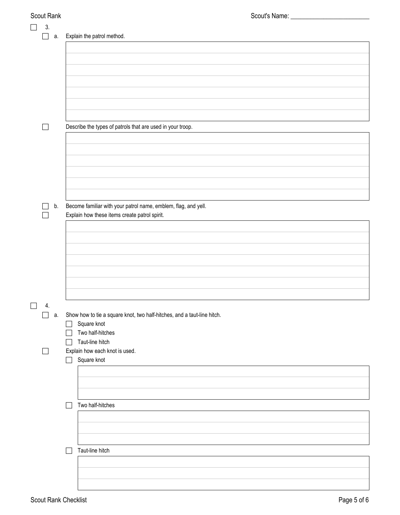| Scout Rank                     | Scout's Name: _                                                         |
|--------------------------------|-------------------------------------------------------------------------|
| 3.                             |                                                                         |
| а.<br>$\mathcal{L}$            | Explain the patrol method.                                              |
|                                |                                                                         |
|                                |                                                                         |
|                                |                                                                         |
|                                |                                                                         |
|                                |                                                                         |
|                                |                                                                         |
|                                |                                                                         |
|                                |                                                                         |
|                                |                                                                         |
|                                |                                                                         |
|                                |                                                                         |
|                                | Describe the types of patrols that are used in your troop.              |
|                                |                                                                         |
|                                |                                                                         |
|                                |                                                                         |
|                                |                                                                         |
|                                |                                                                         |
|                                |                                                                         |
|                                |                                                                         |
|                                |                                                                         |
|                                |                                                                         |
| b.                             | Become familiar with your patrol name, emblem, flag, and yell.          |
|                                | Explain how these items create patrol spirit.                           |
|                                |                                                                         |
|                                |                                                                         |
|                                |                                                                         |
|                                |                                                                         |
|                                |                                                                         |
|                                |                                                                         |
|                                |                                                                         |
|                                |                                                                         |
|                                |                                                                         |
|                                |                                                                         |
|                                |                                                                         |
| $\overline{\phantom{a}}$<br>4. |                                                                         |
| $\sim$<br>а.                   | Show how to tie a square knot, two half-hitches, and a taut-line hitch. |
|                                | Square knot                                                             |
|                                | Two half-hitches                                                        |
|                                | Taut-line hitch                                                         |
|                                |                                                                         |
| $\overline{\phantom{0}}$       | Explain how each knot is used.                                          |
|                                | Square knot                                                             |
|                                |                                                                         |
|                                |                                                                         |
|                                |                                                                         |
|                                |                                                                         |
|                                | Two half-hitches                                                        |
|                                |                                                                         |
|                                |                                                                         |
|                                |                                                                         |
|                                |                                                                         |
|                                |                                                                         |
|                                | Taut-line hitch                                                         |
|                                |                                                                         |
|                                |                                                                         |
|                                |                                                                         |
|                                |                                                                         |
|                                |                                                                         |